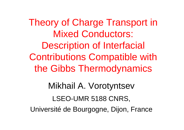Theory of Charge Transport in Mixed Conductors: Description of Interfacial Contributions Compatible with the Gibbs Thermodynamics Mikhail A. Vorotyntsev LSEO-UMR 5188 CNRS, Université de Bourgogne, Dijon, France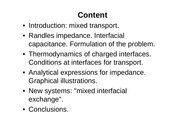# **Content**

- Introduction: mixed transport.
- Randles impedance. Interfacial capacitance. Formulation of the problem.
- Thermodynamics of charged interfaces. Conditions at interfaces for transport.
- Analytical expressions for impedance. Graphical illustrations.
- New systems: "mixed interfacial exchange".
- Conclusions.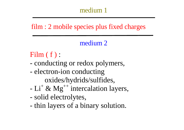#### medium 1

### film : 2 mobile species plus fixed charges

### medium 2

## $Film(f):$

- conducting or redox polymers,
- electron-ion conducting oxides/hydrids/sulfides,
- $Li^+ \& Mg^{++}$  intercalation layers,
- solid electrolytes,
- thin layers of a binary solution.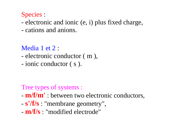### Species :

- electronic and ionic (e, i) plus fixed charge,
- cations and anions.

### Media 1 et 2 :

- electronic conductor ( m ),
- ionic conductor ( s ).

### Tree types of systems :

- **m/f/m'** : between two electronic conductors,
- **<sup>s</sup>'/f/s** : "membrane geometry",
- **m/f/s** : "modified electrode"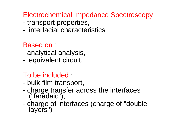Electrochemical Impedance Spectroscopy

- transport properties,
- interfacial characteristics

### Based on :

- analytical analysis,
- equivalent circuit.

### To be included :

- bulk film transport,
- charge transfer across the interfaces ("faradaic"),
- charge of interfaces (charge of "double layers")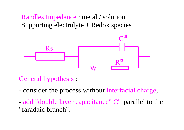Randles Impedance : metal / solution Supporting electrolyte + Redox species



General hypothesis :

- consider the process without interfacial charge,

- add "double layer capacitance"  $C<sup>dl</sup>$  parallel to the "faradaic branch".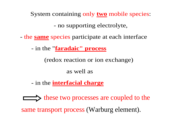System containing only **two** mobile species:

- no supporting electrolyte,

- the **same** species participate at each interface
	- in the "**faradaic" process**

(redox reaction or ion exchange)

#### as well as

- in the **interfacial charge**

these two processes are coupled to the

same transport process (Warburg element).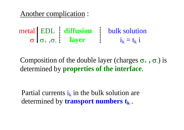Another complication :

metal EDL **diffusion bulk** solution  $\sigma$   $\sigma_+$ , $\sigma_-$  **layer**  $i_k = t_k$  i

Composition of the double layer (charges σ **+ ,**  σ **-**) is determined by **properties of the interface**.

Partial currents  $i_k$  in the bulk solution are determined by **transport numbers t k** .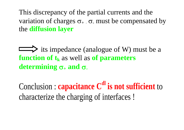This discrepancy of the partial currents and the variation of charges  $\sigma_+$  ,  $\sigma_-$  must be compensated by the **diffusion layer**

 $\implies$  its impedance (analogue of W) must be a **function of t <sup>k</sup>** as well as **of parameters determining**  $\sigma_+$  **and**  $\sigma_-$ 

Conclusion : **capacitance C<sup>dl</sup> is not sufficient** to characterize the charging of interfaces !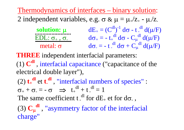Thermodynamics of interfaces – binary solution: 2 independent variables, e.g.  $\sigma \& \mu = \mu_{+}/z_{+}$  -  $\mu_{-}/z_{-}$ 



 $\mu$  dE<sub>+</sub> = (C<sup>dl</sup>)<sup>-1</sup> d<sub>O</sub> - t<sup>dl</sup> d( $\mu$ /F)  $d\sigma_+ = -t_+^{dl} d\sigma - C_\mu^{dl} d(\mu/F)$  $d\sigma = -t^{-dl} d\sigma + C_\mu^{dl} d(\mu/F)$ 

**THREE** independent interfacial parameters:

(1) **<sup>C</sup>dl** , interfacial capacitance ("capacitance of the electrical double layer"),

(2)  $\mathbf{t}_{+}^{\mathbf{dl}}$  et  $\mathbf{t}_{-}$ **dl** , "interfacial numbers of species" :  $\sigma_+ + \sigma_- = -\sigma \implies t_+^{\text{dl}} + t_-^{\text{dl}} = 1$ The same coefficient t<sup>dl</sup> for dE<sub>+</sub> et for d $\sigma$ .,

(3) **C** μ **dl** , "asymmetry factor of the interfacial charge"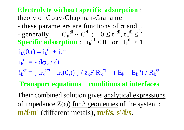### **Electrolyte without specific adsorption** : theory of Gouy-Chapman-Grahame

- these parameters are functions of  $\sigma$  and  $\mu$  ,
- generally,  $C_{\mu}^{dl} \sim C^{dl}$ ;  $0 \le t_{+}^{dl}$ ,  $t_{-}^{dl} \le 1$ **Specific adsorption :**  $t_k$ <sup>dl</sup> < 0 or  $t_k$ <sup>dl</sup> > 1  $i_k(0,t) = i_k^{\text{ dl}} + i_k$ ct
- $i_k$ <sup>dl</sup> = d $\sigma_k$  / dt
- $\boldsymbol{\mathrm{i}_{\boldsymbol{\mathrm{k}}}}^{\boldsymbol{\mathrm{ct}}}=\left[\begin{array}{c} \boldsymbol{\mu }_{\boldsymbol{\mathrm{k}}} \end{array}\right]$  $e^{\text{ext}}$  -  $\mu_{\text{k}}(0,\text{t})$  ] /  $\text{z}_{\text{k}}$ F  $\text{R}_{\text{k}}$  $\mathrm{c}\mathrm{t}\equiv\left(\mathrm{~E}_{\mathrm{k}}-\mathrm{E}_{\mathrm{k}}{}^{\mathrm{o}}\right)/\mathrm{~R}_{\mathrm{k}}$ ct

### **Transport equations + conditions at interfaces**

Their combined solution gives analytical expressions of impedance  $Z(\omega)$  <u>for 3 geometries</u> of the system : **m/f/m'** (different metals), **m/f/s**, **<sup>s</sup>'/f/s**.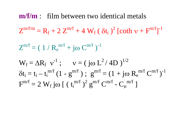**m/f/m** : film between two identical metals  $Z^{m/f/m} = R_f + 2 Z^{m/f} + 4 W_f (\delta t_i)^2 [coth v + F^{m/f}]^{-1}$  $Z^{m/f} = (1/R_e^{m/f} + i\omega C^{m/f})^{-1}$  $W_{\rm f} = \Delta R_{\rm f}\;\;{\rm v}^{-1}\;;\;\;\;\;\;\;{\rm v} = (\;{\rm j}\omega\;{\rm L}^2/\,4{\rm D}\;)^{1/2}$  $\delta t_i = t_i - t_i^{m/f} (1 - g^{m/f})$ ;  $g^{m/f} = (1 + i\omega R_e^{m/f} C^{m/f})^{-1}$  $F^{m/f} = 2 W_f i\omega \int (t_i^{m/f})^2 g^{m/f} C^{m/f} - C_u^{m/f}$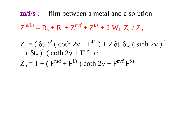**m/f/s** : film between a metal and a solution

### $Z^{\text{m/f/s}} = R_{\text{c}} + R_{\text{f}} + Z^{\text{m/f}} + Z^{\text{f/s}} + 2 W_{\text{f}} Z_{\text{a}} / Z_{\text{b}}$

 $Z_a = (\delta t_i)^2 (\coth 2v + F^{t/s}) + 2 \delta t_i \delta t_e (\sinh 2v)^{-1}$ + (  $\delta t_e$  )<sup>2</sup> ( coth 2v + F<sup>m/f</sup> );  $Z_b = 1 + (F^{m/f} + F^{f/s}) \coth 2v + F^{m/f} F^{f/s}$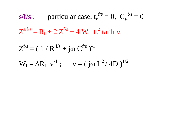s/f/s : particular case,  $t_e^{f/s} = 0$ ,  $C_u^{f/s} = 0$  $Z^{s/f/s} = R_f + 2 Z^{f/s} + 4 W_f t_a^2$  tanh v  $Z^{\frac{f}{s}} = (1/R_i^{\frac{f}{s}} + i\omega C^{\frac{f}{s}})^{-1}$  $W_f = \Delta R_f$   $v^{-1}$ ;  $v = (j\omega L^2 / 4D)^{1/2}$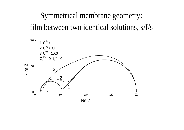# Symmetrical membrane geometry: film between two identical solutions, s/f/s

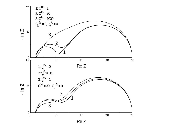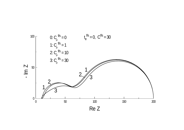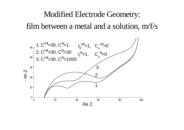Modified Electrode Geometry: film between a metal and a solution, m/f/s

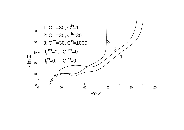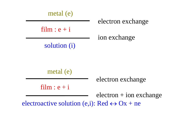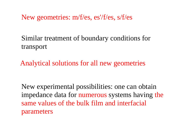New geometries: m/f/es, es'/f/es, s/f/es

Similar treatment of boundary conditions for transport

Analytical solutions for all new geometries

New experimental possibilities: one can obtain impedance data for numerous systems having the same values of the bulk film and interfacial parameters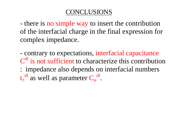#### CONCLUSIONS

- there is no simple way to insert the contribution of the interfacial charge in the final expression for complex impedance.

- contrary to expectations, interfacial capacitance  $C<sup>dl</sup>$  is not sufficient to characterize this contribution : impedance also depends on interfacial numbers  $t_{\pm}$ <sup>dl</sup> as well as parameter  $C_{\mu}^{dl}$ .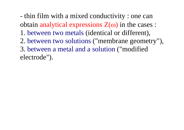- thin film with a mixed conductivity : one can obtain analytical expressions  $Z(\omega)$  in the cases : 1. between two metals (identical or different), 2. between two solutions ("membrane geometry"), 3. between a metal and a solution ("modified electrode").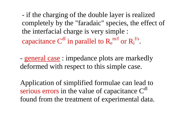- if the charging of the double layer is realized completely by the "faradaic" species, the effect of the interfacial charge is very simple : capacitance  $C^{dl}$  in parallel to  $R_e^{m/f}$  or  $R_i^{f/s}$ .

- general case : impedance plots are markedly deformed with respect to this simple case.

Application of simplified formulae can lead to serious errors in the value of capacitance  $C<sup>dl</sup>$ found from the treatment of experimental data.